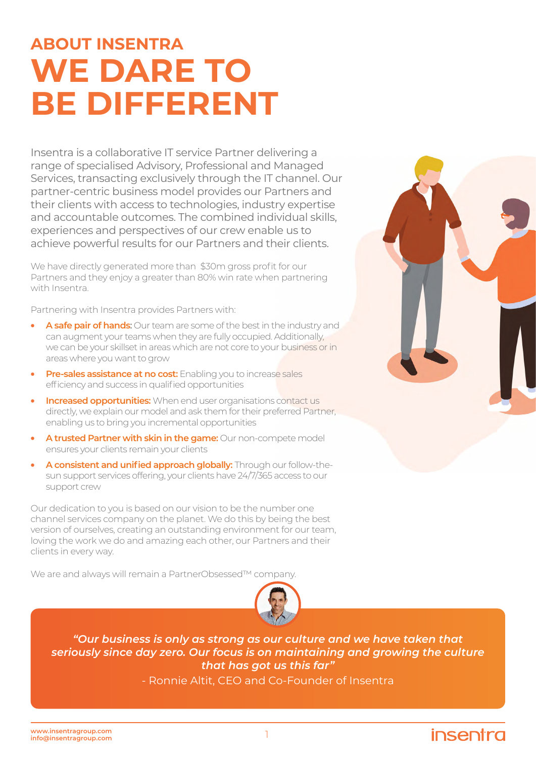# **ABOUT INSENTRA WE DARE TO BE DIFFERENT**

Insentra is a collaborative IT service Partner delivering a range of specialised Advisory, Professional and Managed Services, transacting exclusively through the IT channel. Our partner-centric business model provides our Partners and their clients with access to technologies, industry expertise and accountable outcomes. The combined individual skills, experiences and perspectives of our crew enable us to achieve powerful results for our Partners and their clients.

We have directly generated more than \$30m gross profit for our Partners and they enjoy a greater than 80% win rate when partnering with Insentra.

Partnering with Insentra provides Partners with:

- **A safe pair of hands**: Our team are some of the best in the industry and can augment your teams when they are fully occupied. Additionally, we can be your skillset in areas which are not core to your business or in areas where you want to grow
- **Pre-sales assistance at no cost:** Enabling you to increase sales efficiency and success in qualified opportunities
- **Increased opportunities:** When end user organisations contact us directly, we explain our model and ask them for their preferred Partner, enabling us to bring you incremental opportunities
- **A trusted Partner with skin in the game:** Our non-compete model ensures your clients remain your clients
- **A consistent and unified approach globally:** Through our follow-thesun support services offering, your clients have 24/7/365 access to our support crew

Our dedication to you is based on our vision to be the number one channel services company on the planet. We do this by being the best version of ourselves, creating an outstanding environment for our team, loving the work we do and amazing each other, our Partners and their clients in every way.

We are and always will remain a PartnerObsessed™ company.



*"Our business is only as strong as our culture and we have taken that seriously since day zero. Our focus is on maintaining and growing the culture that has got us this far"*

- Ronnie Altit, CEO and Co-Founder of Insentra